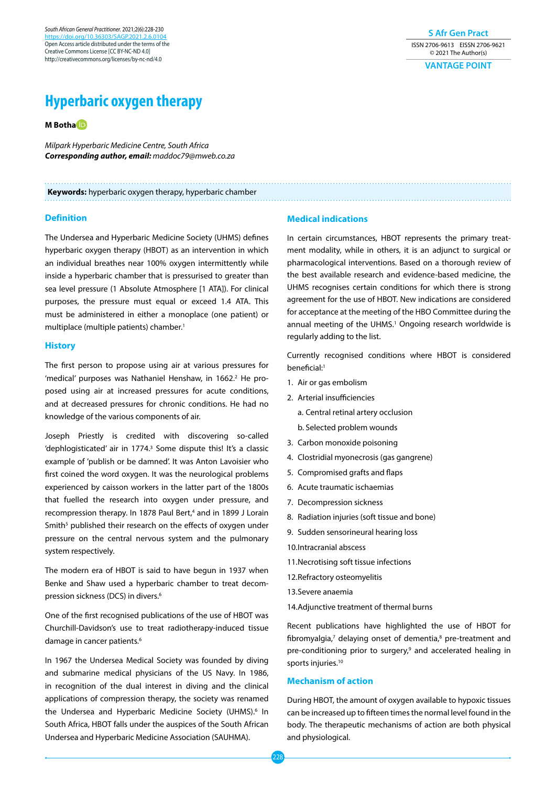*South African General Practitioner.* 2021;2(6):228-230 https://doi.org/10.36303/ Open Access article distributed under the terms of the Creative Commons License [CC BY-NC-ND 4.0] http://creativecommons.org/licenses/by-nc-nd/4.0

**S Afr Gen Pract** ISSN 2706-9613 EISSN 2706-9621 © 2021 The Author(s) **VANTAGE POINT**

# **Hyperbaric oxygen therapy**

**M Both[a](https://orcid.org/0000-0003-3364-9511)**

*Milpark Hyperbaric Medicine Centre, South Africa Corresponding author, email: maddoc79@mweb.co.za*

#### **Keywords:** hyperbaric oxygen therapy, hyperbaric chamber

#### **Definition**

The Undersea and Hyperbaric Medicine Society (UHMS) defines hyperbaric oxygen therapy (HBOT) as an intervention in which an individual breathes near 100% oxygen intermittently while inside a hyperbaric chamber that is pressurised to greater than sea level pressure (1 Absolute Atmosphere [1 ATA]). For clinical purposes, the pressure must equal or exceed 1.4 ATA. This must be administered in either a monoplace (one patient) or multiplace (multiple patients) chamber.<sup>1</sup>

# **History**

The first person to propose using air at various pressures for 'medical' purposes was Nathaniel Henshaw, in 1662.<sup>2</sup> He proposed using air at increased pressures for acute conditions, and at decreased pressures for chronic conditions. He had no knowledge of the various components of air.

Joseph Priestly is credited with discovering so-called 'dephlogisticated' air in 1774.<sup>3</sup> Some dispute this! It's a classic example of 'publish or be damned'. It was Anton Lavoisier who first coined the word oxygen. It was the neurological problems experienced by caisson workers in the latter part of the 1800s that fuelled the research into oxygen under pressure, and recompression therapy. In 1878 Paul Bert,<sup>4</sup> and in 1899 J Lorain Smith<sup>5</sup> published their research on the effects of oxygen under pressure on the central nervous system and the pulmonary system respectively.

The modern era of HBOT is said to have begun in 1937 when Benke and Shaw used a hyperbaric chamber to treat decompression sickness (DCS) in divers.6

One of the first recognised publications of the use of HBOT was Churchill-Davidson's use to treat radiotherapy-induced tissue damage in cancer patients.<sup>6</sup>

In 1967 the Undersea Medical Society was founded by diving and submarine medical physicians of the US Navy. In 1986, in recognition of the dual interest in diving and the clinical applications of compression therapy, the society was renamed the Undersea and Hyperbaric Medicine Society (UHMS).<sup>6</sup> In South Africa, HBOT falls under the auspices of the South African Undersea and Hyperbaric Medicine Association (SAUHMA).

### **Medical indications**

In certain circumstances, HBOT represents the primary treatment modality, while in others, it is an adjunct to surgical or pharmacological interventions. Based on a thorough review of the best available research and evidence-based medicine, the UHMS recognises certain conditions for which there is strong agreement for the use of HBOT. New indications are considered for acceptance at the meeting of the HBO Committee during the annual meeting of the UHMS.<sup>1</sup> Ongoing research worldwide is regularly adding to the list.

Currently recognised conditions where HBOT is considered beneficial:<sup>1</sup>

- 1. Air or gas embolism
- 2. Arterial insufficiencies
	- a. Central retinal artery occlusion
	- b. Selected problem wounds
- 3. Carbon monoxide poisoning
- 4. Clostridial myonecrosis (gas gangrene)
- 5. Compromised grafts and flaps
- 6. Acute traumatic ischaemias
- 7. Decompression sickness
- 8. Radiation injuries (soft tissue and bone)
- 9. Sudden sensorineural hearing loss
- 10.Intracranial abscess
- 11.Necrotising soft tissue infections
- 12.Refractory osteomyelitis
- 13.Severe anaemia
- 14.Adjunctive treatment of thermal burns

Recent publications have highlighted the use of HBOT for fibromyalgia, $7$  delaying onset of dementia, $8$  pre-treatment and pre-conditioning prior to surgery,<sup>9</sup> and accelerated healing in sports injuries.<sup>10</sup>

#### **Mechanism of action**

During HBOT, the amount of oxygen available to hypoxic tissues can be increased up to fifteen times the normal level found in the body. The therapeutic mechanisms of action are both physical and physiological.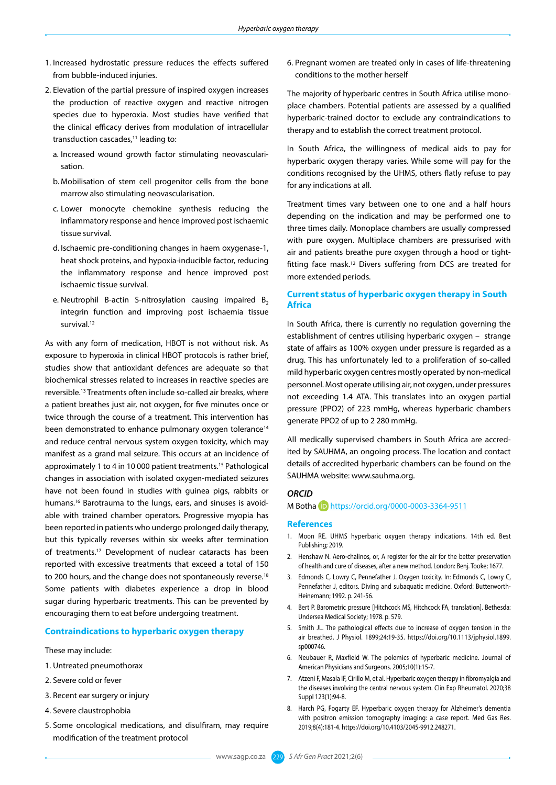- 1. Increased hydrostatic pressure reduces the effects suffered from bubble-induced injuries.
- 2. Elevation of the partial pressure of inspired oxygen increases the production of reactive oxygen and reactive nitrogen species due to hyperoxia. Most studies have verified that the clinical efficacy derives from modulation of intracellular transduction cascades,<sup>11</sup> leading to:
	- a. Increased wound growth factor stimulating neovascularisation.
	- b. Mobilisation of stem cell progenitor cells from the bone marrow also stimulating neovascularisation.
	- c. Lower monocyte chemokine synthesis reducing the inflammatory response and hence improved post ischaemic tissue survival.
	- d. Ischaemic pre-conditioning changes in haem oxygenase-1, heat shock proteins, and hypoxia-inducible factor, reducing the inflammatory response and hence improved post ischaemic tissue survival.
	- e. Neutrophil B-actin S-nitrosylation causing impaired  $B_2$ integrin function and improving post ischaemia tissue survival.<sup>12</sup>

As with any form of medication, HBOT is not without risk. As exposure to hyperoxia in clinical HBOT protocols is rather brief, studies show that antioxidant defences are adequate so that biochemical stresses related to increases in reactive species are reversible.13 Treatments often include so-called air breaks, where a patient breathes just air, not oxygen, for five minutes once or twice through the course of a treatment. This intervention has been demonstrated to enhance pulmonary oxygen tolerance<sup>14</sup> and reduce central nervous system oxygen toxicity, which may manifest as a grand mal seizure. This occurs at an incidence of approximately 1 to 4 in 10 000 patient treatments.15 Pathological changes in association with isolated oxygen-mediated seizures have not been found in studies with guinea pigs, rabbits or humans.16 Barotrauma to the lungs, ears, and sinuses is avoidable with trained chamber operators. Progressive myopia has been reported in patients who undergo prolonged daily therapy, but this typically reverses within six weeks after termination of treatments.17 Development of nuclear cataracts has been reported with excessive treatments that exceed a total of 150 to 200 hours, and the change does not spontaneously reverse.<sup>18</sup> Some patients with diabetes experience a drop in blood sugar during hyperbaric treatments. This can be prevented by encouraging them to eat before undergoing treatment.

### **Contraindications to hyperbaric oxygen therapy**

#### These may include:

- 1. Untreated pneumothorax
- 2. Severe cold or fever
- 3. Recent ear surgery or injury
- 4. Severe claustrophobia
- 5. Some oncological medications, and disulfiram, may require modification of the treatment protocol

6. Pregnant women are treated only in cases of life-threatening conditions to the mother herself

The majority of hyperbaric centres in South Africa utilise monoplace chambers. Potential patients are assessed by a qualified hyperbaric-trained doctor to exclude any contraindications to therapy and to establish the correct treatment protocol.

In South Africa, the willingness of medical aids to pay for hyperbaric oxygen therapy varies. While some will pay for the conditions recognised by the UHMS, others flatly refuse to pay for any indications at all.

Treatment times vary between one to one and a half hours depending on the indication and may be performed one to three times daily. Monoplace chambers are usually compressed with pure oxygen. Multiplace chambers are pressurised with air and patients breathe pure oxygen through a hood or tightfitting face mask.12 Divers suffering from DCS are treated for more extended periods.

# **Current status of hyperbaric oxygen therapy in South Africa**

In South Africa, there is currently no regulation governing the establishment of centres utilising hyperbaric oxygen – strange state of affairs as 100% oxygen under pressure is regarded as a drug. This has unfortunately led to a proliferation of so-called mild hyperbaric oxygen centres mostly operated by non-medical personnel. Most operate utilising air, not oxygen, under pressures not exceeding 1.4 ATA. This translates into an oxygen partial pressure (PPO2) of 223 mmHg, whereas hyperbaric chambers generate PPO2 of up to 2 280 mmHg.

All medically supervised chambers in South Africa are accredited by SAUHMA, an ongoing process. The location and contact details of accredited hyperbaric chambers can be found on the SAUHMA website: www.sauhma.org.

# *ORCID*

M Botha <https://orcid.org/0000-0003-3364-9511>

#### **References**

- 1. Moon RE. UHMS hyperbaric oxygen therapy indications. 14th ed. Best Publishing; 2019.
- 2. Henshaw N. Aero-chalinos, or, A register for the air for the better preservation of health and cure of diseases, after a new method. London: Benj. Tooke; 1677.
- 3. Edmonds C, Lowry C, Pennefather J. Oxygen toxicity. In: Edmonds C, Lowry C, Pennefather J, editors. Diving and subaquatic medicine. Oxford: Butterworth-Heinemann; 1992. p. 241-56.
- 4. Bert P. Barometric pressure [Hitchcock MS, Hitchcock FA, translation]. Bethesda: Undersea Medical Society; 1978. p. 579.
- 5. Smith JL. The pathological effects due to increase of oxygen tension in the air breathed. J Physiol. 1899;24:19-35. [https://doi.org/10.1113/jphysiol.1899.](https://doi.org/10.1113/jphysiol.1899.sp000746) [sp000746](https://doi.org/10.1113/jphysiol.1899.sp000746).
- 6. Neubauer R, Maxfield W. The polemics of hyperbaric medicine. Journal of American Physicians and Surgeons. 2005;10(1):15-7.
- 7. Atzeni F, Masala IF, Cirillo M, et al. Hyperbaric oxygen therapy in fibromyalgia and the diseases involving the central nervous system. Clin Exp Rheumatol. 2020;38 Suppl 123(1):94-8.
- 8. Harch PG, Fogarty EF. Hyperbaric oxygen therapy for Alzheimer's dementia with positron emission tomography imaging: a case report. Med Gas Res. 2019;8(4):181-4. [https://doi.org/10.4103/2045-9912.248271.](https://doi.org/10.4103/2045-9912.248271)